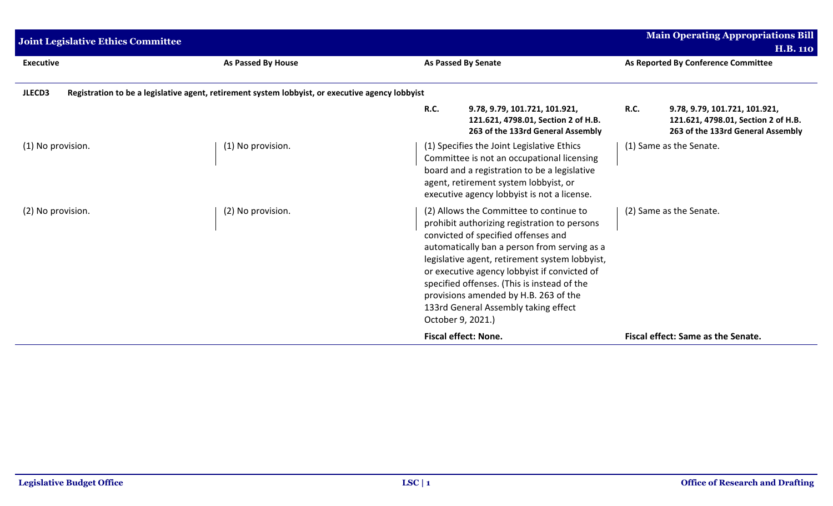| <b>Joint Legislative Ethics Committee</b> | <b>Main Operating Appropriations Bill</b>                                                        |                                                                                                                                                                                                                                                                                                                                                                                                                                       |                                                                                                                          |
|-------------------------------------------|--------------------------------------------------------------------------------------------------|---------------------------------------------------------------------------------------------------------------------------------------------------------------------------------------------------------------------------------------------------------------------------------------------------------------------------------------------------------------------------------------------------------------------------------------|--------------------------------------------------------------------------------------------------------------------------|
|                                           |                                                                                                  |                                                                                                                                                                                                                                                                                                                                                                                                                                       | <b>H.B. 110</b>                                                                                                          |
| <b>Executive</b>                          | As Passed By House                                                                               | <b>As Passed By Senate</b>                                                                                                                                                                                                                                                                                                                                                                                                            | As Reported By Conference Committee                                                                                      |
| JLECD3                                    | Registration to be a legislative agent, retirement system lobbyist, or executive agency lobbyist |                                                                                                                                                                                                                                                                                                                                                                                                                                       |                                                                                                                          |
|                                           |                                                                                                  | <b>R.C.</b><br>9.78, 9.79, 101.721, 101.921,<br>121.621, 4798.01, Section 2 of H.B.<br>263 of the 133rd General Assembly                                                                                                                                                                                                                                                                                                              | <b>R.C.</b><br>9.78, 9.79, 101.721, 101.921,<br>121.621, 4798.01, Section 2 of H.B.<br>263 of the 133rd General Assembly |
| (1) No provision.                         | (1) No provision.                                                                                | (1) Specifies the Joint Legislative Ethics<br>Committee is not an occupational licensing<br>board and a registration to be a legislative<br>agent, retirement system lobbyist, or<br>executive agency lobbyist is not a license.                                                                                                                                                                                                      | (1) Same as the Senate.                                                                                                  |
| (2) No provision.                         | (2) No provision.                                                                                | (2) Allows the Committee to continue to<br>prohibit authorizing registration to persons<br>convicted of specified offenses and<br>automatically ban a person from serving as a<br>legislative agent, retirement system lobbyist,<br>or executive agency lobbyist if convicted of<br>specified offenses. (This is instead of the<br>provisions amended by H.B. 263 of the<br>133rd General Assembly taking effect<br>October 9, 2021.) | (2) Same as the Senate.                                                                                                  |
|                                           |                                                                                                  | <b>Fiscal effect: None.</b>                                                                                                                                                                                                                                                                                                                                                                                                           | Fiscal effect: Same as the Senate.                                                                                       |